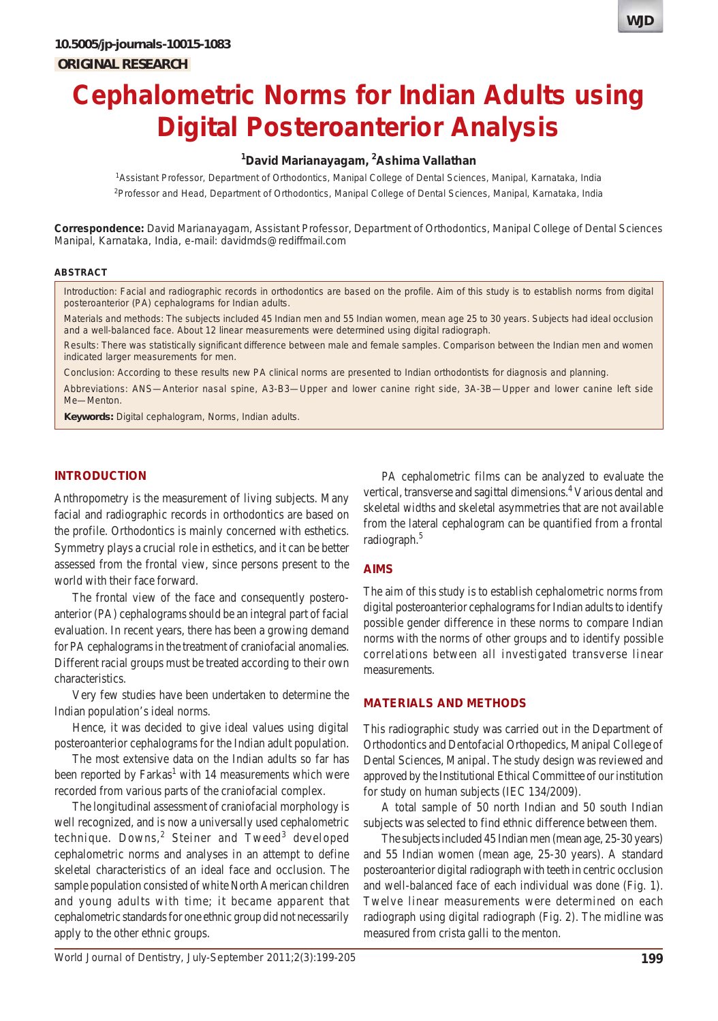# **Cephalometric Norms for Indian Adults using Digital Posteroanterior Analysis**

# **1 David Marianayagam, 2 Ashima Vallathan**

1 Assistant Professor, Department of Orthodontics, Manipal College of Dental Sciences, Manipal, Karnataka, India 2 Professor and Head, Department of Orthodontics, Manipal College of Dental Sciences, Manipal, Karnataka, India

**Correspondence:** David Marianayagam, Assistant Professor, Department of Orthodontics, Manipal College of Dental Sciences Manipal, Karnataka, India, e-mail: davidmds@rediffmail.com

#### **ABSTRACT**

*Introduction*: Facial and radiographic records in orthodontics are based on the profile. Aim of this study is to establish norms from digital posteroanterior (PA) cephalograms for Indian adults.

*Materials and methods*: The subjects included 45 Indian men and 55 Indian women, mean age 25 to 30 years. Subjects had ideal occlusion and a well-balanced face. About 12 linear measurements were determined using digital radiograph.

*Results*: There was statistically significant difference between male and female samples. Comparison between the Indian men and women indicated larger measurements for men.

*Conclusion*: According to these results new PA clinical norms are presented to Indian orthodontists for diagnosis and planning.

*Abbreviations*: ANS—Anterior nasal spine, A3-B3—Upper and lower canine right side, 3A-3B—Upper and lower canine left side Me—Menton.

**Keywords:** Digital cephalogram, Norms, Indian adults.

## **INTRODUCTION**

Anthropometry is the measurement of living subjects. Many facial and radiographic records in orthodontics are based on the profile. Orthodontics is mainly concerned with esthetics. Symmetry plays a crucial role in esthetics, and it can be better assessed from the frontal view, since persons present to the world with their face forward.

The frontal view of the face and consequently posteroanterior (PA) cephalograms should be an integral part of facial evaluation. In recent years, there has been a growing demand for PA cephalograms in the treatment of craniofacial anomalies. Different racial groups must be treated according to their own characteristics.

Very few studies have been undertaken to determine the Indian population's ideal norms.

Hence, it was decided to give ideal values using digital posteroanterior cephalograms for the Indian adult population.

The most extensive data on the Indian adults so far has been reported by Farkas<sup>1</sup> with 14 measurements which were recorded from various parts of the craniofacial complex.

The longitudinal assessment of craniofacial morphology is well recognized, and is now a universally used cephalometric technique. Downs,<sup>2</sup> Steiner and Tweed<sup>3</sup> developed cephalometric norms and analyses in an attempt to define skeletal characteristics of an ideal face and occlusion. The sample population consisted of white North American children and young adults with time; it became apparent that cephalometric standards for one ethnic group did not necessarily apply to the other ethnic groups.

PA cephalometric films can be analyzed to evaluate the vertical, transverse and sagittal dimensions.<sup>4</sup> Various dental and skeletal widths and skeletal asymmetries that are not available from the lateral cephalogram can be quantified from a frontal radiograph.<sup>5</sup>

#### **AIMS**

The aim of this study is to establish cephalometric norms from digital posteroanterior cephalograms for Indian adults to identify possible gender difference in these norms to compare Indian norms with the norms of other groups and to identify possible correlations between all investigated transverse linear measurements.

## **MATERIALS AND METHODS**

This radiographic study was carried out in the Department of Orthodontics and Dentofacial Orthopedics, Manipal College of Dental Sciences, Manipal. The study design was reviewed and approved by the Institutional Ethical Committee of our institution for study on human subjects (IEC 134/2009).

A total sample of 50 north Indian and 50 south Indian subjects was selected to find ethnic difference between them.

The subjects included 45 Indian men (mean age, 25-30 years) and 55 Indian women (mean age, 25-30 years). A standard posteroanterior digital radiograph with teeth in centric occlusion and well-balanced face of each individual was done (Fig. 1). Twelve linear measurements were determined on each radiograph using digital radiograph (Fig. 2). The midline was measured from crista galli to the menton.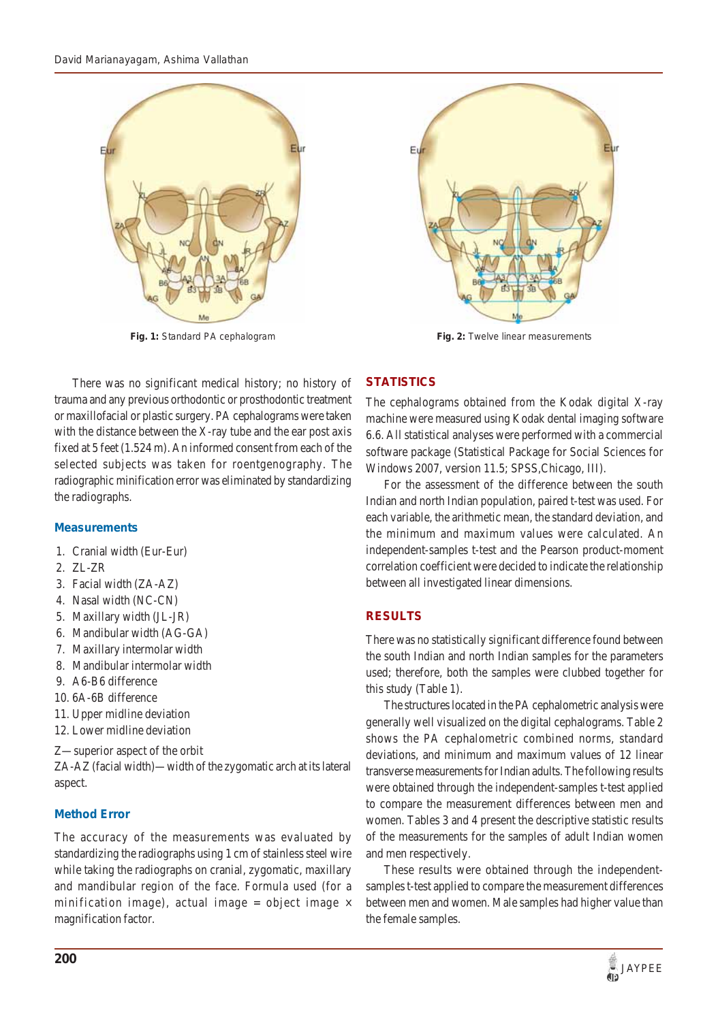

There was no significant medical history; no history of trauma and any previous orthodontic or prosthodontic treatment or maxillofacial or plastic surgery. PA cephalograms were taken with the distance between the X-ray tube and the ear post axis fixed at 5 feet (1.524 m). An informed consent from each of the selected subjects was taken for roentgenography. The radiographic minification error was eliminated by standardizing the radiographs.

## **Measurements**

- 1. Cranial width (Eur-Eur)
- 2. ZL-ZR
- 3. Facial width (ZA-AZ)
- 4. Nasal width (NC-CN)
- 5. Maxillary width (JL-JR)
- 6. Mandibular width (AG-GA)
- 7. Maxillary intermolar width
- 8. Mandibular intermolar width
- 9. A6-B6 difference
- 10. 6A-6B difference
- 11. Upper midline deviation
- 12. Lower midline deviation
- Z—superior aspect of the orbit

ZA-AZ (facial width)—width of the zygomatic arch at its lateral aspect.

# **Method Error**

The accuracy of the measurements was evaluated by standardizing the radiographs using 1 cm of stainless steel wire while taking the radiographs on cranial, zygomatic, maxillary and mandibular region of the face. Formula used (for a minification image), actual image = object image  $\times$ magnification factor.



**Fig. 1:** Standard PA cephalogram **Fig. 2:** Twelve linear measurements

# **STATISTICS**

The cephalograms obtained from the Kodak digital X-ray machine were measured using Kodak dental imaging software 6.6. All statistical analyses were performed with a commercial software package (Statistical Package for Social Sciences for Windows 2007, version 11.5; SPSS,Chicago, III).

For the assessment of the difference between the south Indian and north Indian population, paired t-test was used. For each variable, the arithmetic mean, the standard deviation, and the minimum and maximum values were calculated. An independent-samples t-test and the Pearson product-moment correlation coefficient were decided to indicate the relationship between all investigated linear dimensions.

# **RESULTS**

There was no statistically significant difference found between the south Indian and north Indian samples for the parameters used; therefore, both the samples were clubbed together for this study (Table 1).

The structures located in the PA cephalometric analysis were generally well visualized on the digital cephalograms. Table 2 shows the PA cephalometric combined norms, standard deviations, and minimum and maximum values of 12 linear transverse measurements for Indian adults. The following results were obtained through the independent-samples t-test applied to compare the measurement differences between men and women. Tables 3 and 4 present the descriptive statistic results of the measurements for the samples of adult Indian women and men respectively.

These results were obtained through the independentsamples t-test applied to compare the measurement differences between men and women. Male samples had higher value than the female samples.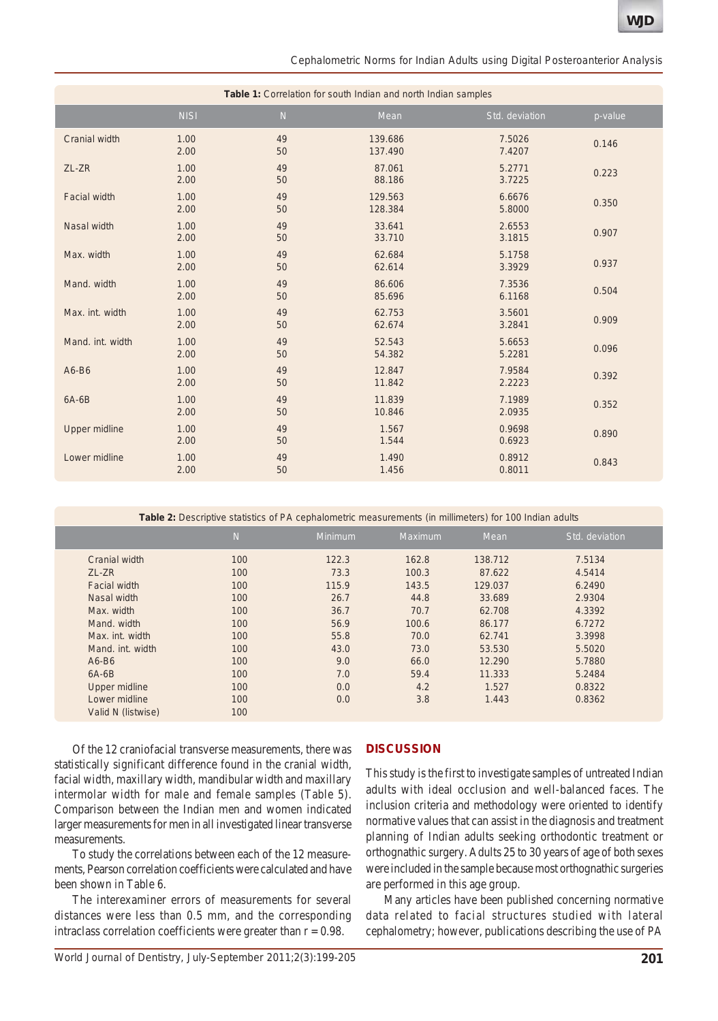*Cephalometric Norms for Indian Adults using Digital Posteroanterior Analysis*

| Table 1: Correlation for south Indian and north Indian samples |              |                |                    |                  |         |  |  |  |  |
|----------------------------------------------------------------|--------------|----------------|--------------------|------------------|---------|--|--|--|--|
|                                                                | <b>NISI</b>  | $\overline{N}$ | Mean               | Std. deviation   | p-value |  |  |  |  |
| Cranial width                                                  | 1.00<br>2.00 | 49<br>50       | 139.686<br>137.490 | 7.5026<br>7.4207 | 0.146   |  |  |  |  |
| ZL-ZR                                                          | 1.00<br>2.00 | 49<br>50       | 87.061<br>88.186   | 5.2771<br>3.7225 | 0.223   |  |  |  |  |
| <b>Facial width</b>                                            | 1.00<br>2.00 | 49<br>50       | 129.563<br>128.384 | 6.6676<br>5.8000 | 0.350   |  |  |  |  |
| Nasal width                                                    | 1.00<br>2.00 | 49<br>50       | 33.641<br>33.710   | 2.6553<br>3.1815 | 0.907   |  |  |  |  |
| Max. width                                                     | 1.00<br>2.00 | 49<br>50       | 62.684<br>62.614   | 5.1758<br>3.3929 | 0.937   |  |  |  |  |
| Mand. width                                                    | 1.00<br>2.00 | 49<br>50       | 86.606<br>85.696   | 7.3536<br>6.1168 | 0.504   |  |  |  |  |
| Max. int. width                                                | 1.00<br>2.00 | 49<br>50       | 62.753<br>62.674   | 3.5601<br>3.2841 | 0.909   |  |  |  |  |
| Mand. int. width                                               | 1.00<br>2.00 | 49<br>50       | 52.543<br>54.382   | 5.6653<br>5.2281 | 0.096   |  |  |  |  |
| A6-B6                                                          | 1.00<br>2.00 | 49<br>50       | 12.847<br>11.842   | 7.9584<br>2.2223 | 0.392   |  |  |  |  |
| $6A-6B$                                                        | 1.00<br>2.00 | 49<br>50       | 11.839<br>10.846   | 7.1989<br>2.0935 | 0.352   |  |  |  |  |
| <b>Upper midline</b>                                           | 1.00<br>2.00 | 49<br>50       | 1.567<br>1.544     | 0.9698<br>0.6923 | 0.890   |  |  |  |  |
| Lower midline                                                  | 1.00<br>2.00 | 49<br>50       | 1.490<br>1.456     | 0.8912<br>0.8011 | 0.843   |  |  |  |  |

**Table 2:** Descriptive statistics of PA cephalometric measurements (in millimeters) for 100 Indian adults

|                      | $\overline{N}$ | Minimum | <b>Maximum</b> | Mean    | Std. deviation |
|----------------------|----------------|---------|----------------|---------|----------------|
| Cranial width        | 100            | 122.3   | 162.8          | 138.712 | 7.5134         |
| ZL-ZR                | 100            | 73.3    | 100.3          | 87.622  | 4.5414         |
| <b>Facial width</b>  | 100            | 115.9   | 143.5          | 129.037 | 6.2490         |
| Nasal width          | 100            | 26.7    | 44.8           | 33.689  | 2.9304         |
| Max. width           | 100            | 36.7    | 70.7           | 62.708  | 4.3392         |
| Mand, width          | 100            | 56.9    | 100.6          | 86.177  | 6.7272         |
| Max. int. width      | 100            | 55.8    | 70.0           | 62.741  | 3.3998         |
| Mand. int. width     | 100            | 43.0    | 73.0           | 53.530  | 5.5020         |
| $A6-B6$              | 100            | 9.0     | 66.0           | 12.290  | 5.7880         |
| $6A-6B$              | 100            | 7.0     | 59.4           | 11.333  | 5.2484         |
| <b>Upper midline</b> | 100            | 0.0     | 4.2            | 1.527   | 0.8322         |
| Lower midline        | 100            | 0.0     | 3.8            | 1.443   | 0.8362         |
| Valid N (listwise)   | 100            |         |                |         |                |

Of the 12 craniofacial transverse measurements, there was statistically significant difference found in the cranial width, facial width, maxillary width, mandibular width and maxillary intermolar width for male and female samples (Table 5). Comparison between the Indian men and women indicated larger measurements for men in all investigated linear transverse measurements.

To study the correlations between each of the 12 measurements, Pearson correlation coefficients were calculated and have been shown in Table 6.

The interexaminer errors of measurements for several distances were less than 0.5 mm, and the corresponding intraclass correlation coefficients were greater than  $r = 0.98$ .

## **DISCUSSION**

This study is the first to investigate samples of untreated Indian adults with ideal occlusion and well-balanced faces. The inclusion criteria and methodology were oriented to identify normative values that can assist in the diagnosis and treatment planning of Indian adults seeking orthodontic treatment or orthognathic surgery. Adults 25 to 30 years of age of both sexes were included in the sample because most orthognathic surgeries are performed in this age group.

Many articles have been published concerning normative data related to facial structures studied with lateral cephalometry; however, publications describing the use of PA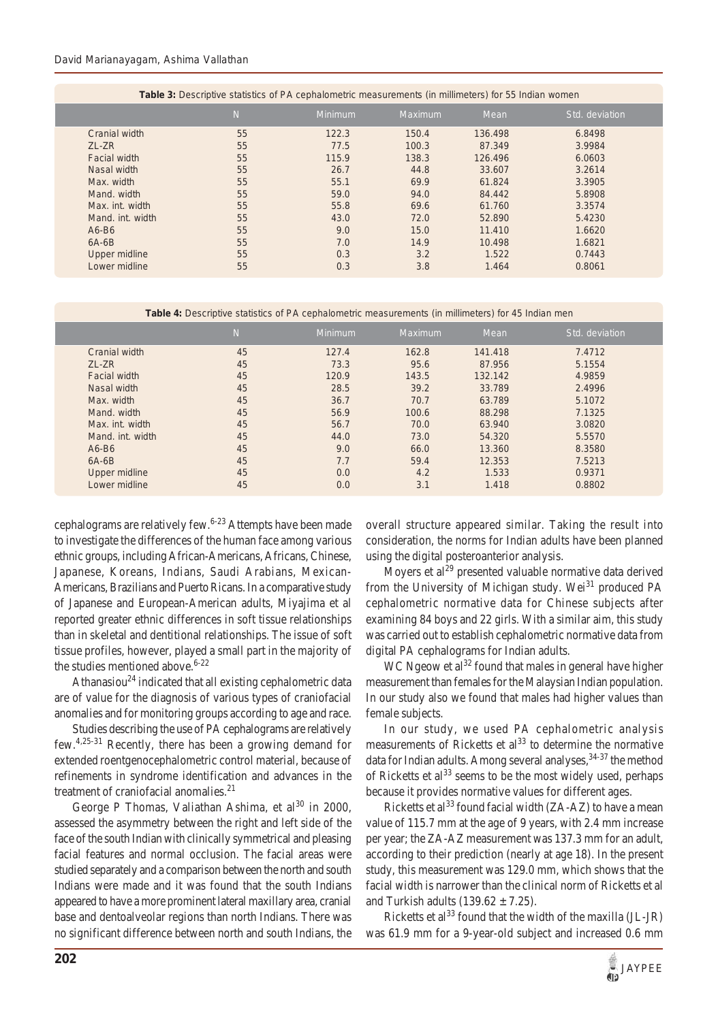#### *David Marianayagam, Ashima Vallathan*

| <b>Table 3:</b> Descriptive statistics of PA cephalometric measurements (in millimeters) for 55 Indian women |                |                |                |         |                |  |  |  |  |
|--------------------------------------------------------------------------------------------------------------|----------------|----------------|----------------|---------|----------------|--|--|--|--|
|                                                                                                              | $\overline{N}$ | <b>Minimum</b> | <b>Maximum</b> | Mean    | Std. deviation |  |  |  |  |
| Cranial width                                                                                                | 55             | 122.3          | 150.4          | 136.498 | 6.8498         |  |  |  |  |
| ZL-ZR                                                                                                        | 55             | 77.5           | 100.3          | 87.349  | 3.9984         |  |  |  |  |
| Facial width                                                                                                 | 55             | 115.9          | 138.3          | 126,496 | 6.0603         |  |  |  |  |
| Nasal width                                                                                                  | 55             | 26.7           | 44.8           | 33.607  | 3.2614         |  |  |  |  |
| Max. width                                                                                                   | 55             | 55.1           | 69.9           | 61.824  | 3.3905         |  |  |  |  |
| Mand, width                                                                                                  | 55             | 59.0           | 94.0           | 84.442  | 5.8908         |  |  |  |  |
| Max. int. width                                                                                              | 55             | 55.8           | 69.6           | 61.760  | 3.3574         |  |  |  |  |
| Mand. int. width                                                                                             | 55             | 43.0           | 72.0           | 52,890  | 5.4230         |  |  |  |  |
| $A6-B6$                                                                                                      | 55             | 9.0            | 15.0           | 11.410  | 1.6620         |  |  |  |  |
| $6A-6B$                                                                                                      | 55             | 7.0            | 14.9           | 10.498  | 1.6821         |  |  |  |  |
| Upper midline                                                                                                | 55             | 0.3            | 3.2            | 1.522   | 0.7443         |  |  |  |  |
| Lower midline                                                                                                | 55             | 0.3            | 3.8            | 1.464   | 0.8061         |  |  |  |  |

**Table 3:** Descriptive statistics of PA cephalometric measurements (in millimeters) for 55 Indian women

**Table 4:** Descriptive statistics of PA cephalometric measurements (in millimeters) for 45 Indian men

|                     | $\overline{N}$ | <b>Minimum</b> | Maximum | Mean    | Std. deviation |
|---------------------|----------------|----------------|---------|---------|----------------|
| Cranial width       | 45             | 127.4          | 162.8   | 141.418 | 7.4712         |
| ZL-ZR               | 45             | 73.3           | 95.6    | 87.956  | 5.1554         |
| <b>Facial width</b> | 45             | 120.9          | 143.5   | 132.142 | 4.9859         |
| Nasal width         | 45             | 28.5           | 39.2    | 33.789  | 2.4996         |
| Max. width          | 45             | 36.7           | 70.7    | 63.789  | 5.1072         |
| Mand. width         | 45             | 56.9           | 100.6   | 88.298  | 7.1325         |
| Max. int. width     | 45             | 56.7           | 70.0    | 63.940  | 3.0820         |
| Mand, int. width    | 45             | 44.0           | 73.0    | 54.320  | 5.5570         |
| $A6-B6$             | 45             | 9.0            | 66.0    | 13.360  | 8.3580         |
| $6A-6B$             | 45             | 7.7            | 59.4    | 12.353  | 7.5213         |
| Upper midline       | 45             | 0.0            | 4.2     | 1.533   | 0.9371         |
| Lower midline       | 45             | 0.0            | 3.1     | 1.418   | 0.8802         |

cephalograms are relatively few.<sup>6-23</sup> Attempts have been made to investigate the differences of the human face among various ethnic groups, including African-Americans, Africans, Chinese, Japanese, Koreans, Indians, Saudi Arabians, Mexican-Americans, Brazilians and Puerto Ricans. In a comparative study of Japanese and European-American adults, Miyajima et al reported greater ethnic differences in soft tissue relationships than in skeletal and dentitional relationships. The issue of soft tissue profiles, however, played a small part in the majority of the studies mentioned above.  $6-22$ 

Athanasiou<sup>24</sup> indicated that all existing cephalometric data are of value for the diagnosis of various types of craniofacial anomalies and for monitoring groups according to age and race.

Studies describing the use of PA cephalograms are relatively few.4,25-31 Recently, there has been a growing demand for extended roentgenocephalometric control material, because of refinements in syndrome identification and advances in the treatment of craniofacial anomalies.<sup>21</sup>

George P Thomas, Valiathan Ashima, et al<sup>30</sup> in 2000, assessed the asymmetry between the right and left side of the face of the south Indian with clinically symmetrical and pleasing facial features and normal occlusion. The facial areas were studied separately and a comparison between the north and south Indians were made and it was found that the south Indians appeared to have a more prominent lateral maxillary area, cranial base and dentoalveolar regions than north Indians. There was no significant difference between north and south Indians, the

overall structure appeared similar. Taking the result into consideration, the norms for Indian adults have been planned using the digital posteroanterior analysis.

Moyers et  $al<sup>29</sup>$  presented valuable normative data derived from the University of Michigan study. Wei<sup>31</sup> produced PA cephalometric normative data for Chinese subjects after examining 84 boys and 22 girls. With a similar aim, this study was carried out to establish cephalometric normative data from digital PA cephalograms for Indian adults.

WC Ngeow et al<sup>32</sup> found that males in general have higher measurement than females for the Malaysian Indian population. In our study also we found that males had higher values than female subjects.

In our study, we used PA cephalometric analysis measurements of Ricketts et  $al<sup>33</sup>$  to determine the normative data for Indian adults. Among several analyses, <sup>34-37</sup> the method of Ricketts et  $al^{33}$  seems to be the most widely used, perhaps because it provides normative values for different ages.

Ricketts et al<sup>33</sup> found facial width  $(ZA-AZ)$  to have a mean value of 115.7 mm at the age of 9 years, with 2.4 mm increase per year; the ZA-AZ measurement was 137.3 mm for an adult, according to their prediction (nearly at age 18). In the present study, this measurement was 129.0 mm, which shows that the facial width is narrower than the clinical norm of Ricketts et al and Turkish adults  $(139.62 \pm 7.25)$ .

Ricketts et al<sup>33</sup> found that the width of the maxilla  $(JL-JR)$ was 61.9 mm for a 9-year-old subject and increased 0.6 mm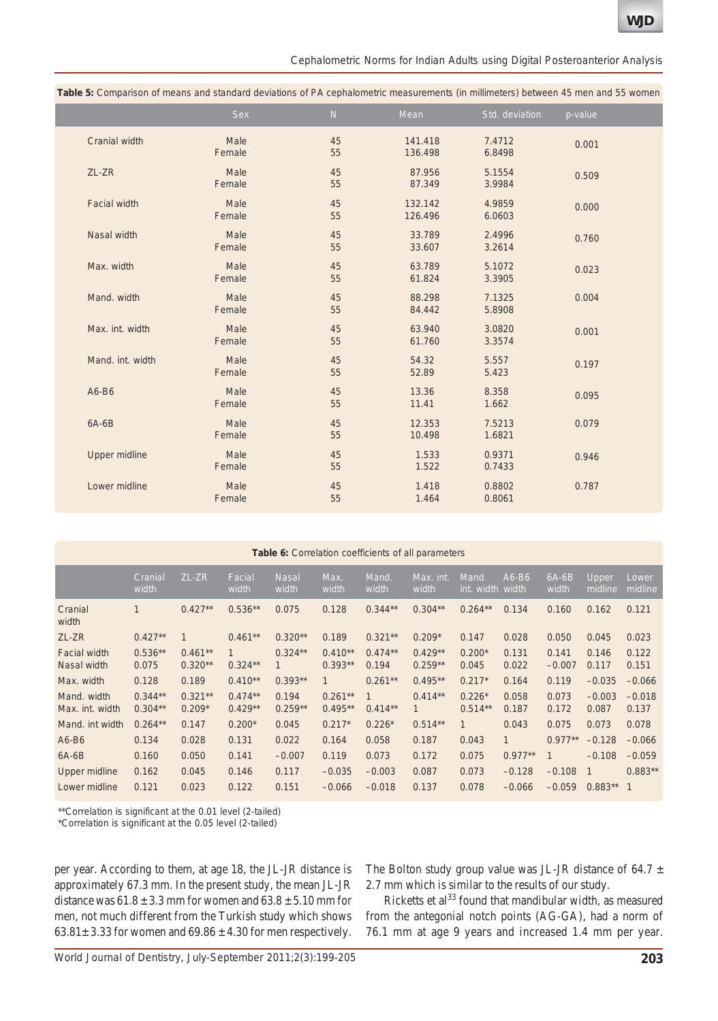*Cephalometric Norms for Indian Adults using Digital Posteroanterior Analysis*

|                     | able of companion of modific and clanated activities of FA copharemotive modellithministery bethod it to monitore would |          |                    |                  |         |
|---------------------|-------------------------------------------------------------------------------------------------------------------------|----------|--------------------|------------------|---------|
|                     | <b>Sex</b>                                                                                                              | N        | Mean               | Std. deviation   | p-value |
| Cranial width       | Male<br>Female                                                                                                          | 45<br>55 | 141.418<br>136.498 | 7.4712<br>6.8498 | 0.001   |
| ZL-ZR               | Male<br>Female                                                                                                          | 45<br>55 | 87.956<br>87.349   | 5.1554<br>3.9984 | 0.509   |
| <b>Facial width</b> | Male<br>Female                                                                                                          | 45<br>55 | 132.142<br>126.496 | 4.9859<br>6.0603 | 0.000   |
| Nasal width         | Male<br>Female                                                                                                          | 45<br>55 | 33.789<br>33.607   | 2.4996<br>3.2614 | 0.760   |
| Max. width          | Male<br>Female                                                                                                          | 45<br>55 | 63.789<br>61.824   | 5.1072<br>3.3905 | 0.023   |
| Mand. width         | Male<br>Female                                                                                                          | 45<br>55 | 88.298<br>84.442   | 7.1325<br>5.8908 | 0.004   |
| Max. int. width     | Male<br>Female                                                                                                          | 45<br>55 | 63.940<br>61.760   | 3.0820<br>3.3574 | 0.001   |
| Mand. int. width    | Male<br>Female                                                                                                          | 45<br>55 | 54.32<br>52.89     | 5.557<br>5.423   | 0.197   |
| A6-B6               | Male<br>Female                                                                                                          | 45<br>55 | 13.36<br>11.41     | 8.358<br>1.662   | 0.095   |
| $6A-6B$             | Male<br>Female                                                                                                          | 45<br>55 | 12.353<br>10.498   | 7.5213<br>1.6821 | 0.079   |
| Upper midline       | Male<br>Female                                                                                                          | 45<br>55 | 1.533<br>1.522     | 0.9371<br>0.7433 | 0.946   |
| Lower midline       | Male<br>Female                                                                                                          | 45<br>55 | 1.418<br>1.464     | 0.8802<br>0.8061 | 0.787   |
|                     |                                                                                                                         |          |                    |                  |         |

**Table 5:** Comparison of means and standard deviations of PA cephalometric measurements (in millimeters) between 45 men and 55 women

| <b>Table 6:</b> Correlation coefficients of all parameters |                        |                        |                           |                       |                        |                    |                           |                       |                  |                   |                         |                   |
|------------------------------------------------------------|------------------------|------------------------|---------------------------|-----------------------|------------------------|--------------------|---------------------------|-----------------------|------------------|-------------------|-------------------------|-------------------|
|                                                            | Cranial<br>width       | ZL-ZR                  | Facial<br>width           | <b>Nasal</b><br>width | Max.<br>width          | Mand.<br>width     | Max. int.<br>width        | Mand.<br>int. width   | $A6-B6$<br>width | $6A-6B$<br>width  | <b>Upper</b><br>midline | Lower<br>midline  |
| Cranial<br>width                                           | 1                      | $0.427**$              | $0.536**$                 | 0.075                 | 0.128                  | $0.344**$          | $0.304**$                 | $0.264**$             | 0.134            | 0.160             | 0.162                   | 0.121             |
| ZL-ZR                                                      | $0.427**$              | 1                      | $0.461**$                 | $0.320**$             | 0.189                  | $0.321**$          | $0.209*$                  | 0.147                 | 0.028            | 0.050             | 0.045                   | 0.023             |
| <b>Facial width</b><br>Nasal width                         | $0.536**$<br>0.075     | $0.461**$<br>$0.320**$ | $\mathbf{1}$<br>$0.324**$ | $0.324**$             | $0.410**$<br>$0.393**$ | $0.474**$<br>0.194 | $0.429**$<br>$0.259**$    | $0.200*$<br>0.045     | 0.131<br>0.022   | 0.141<br>$-0.007$ | 0.146<br>0.117          | 0.122<br>0.151    |
| Max. width                                                 | 0.128                  | 0.189                  | $0.410**$                 | $0.393**$             | 1                      | $0.261**$          | $0.495**$                 | $0.217*$              | 0.164            | 0.119             | $-0.035$                | $-0.066$          |
| Mand. width<br>Max. int. width                             | $0.344**$<br>$0.304**$ | $0.321**$<br>$0.209*$  | $0.474**$<br>$0.429**$    | 0.194<br>$0.259**$    | $0.261**$<br>$0.495**$ | 1<br>$0.414**$     | $0.414**$<br>$\mathbf{1}$ | $0.226*$<br>$0.514**$ | 0.058<br>0.187   | 0.073<br>0.172    | $-0.003$<br>0.087       | $-0.018$<br>0.137 |
| Mand, int width                                            | $0.264**$              | 0.147                  | $0.200*$                  | 0.045                 | $0.217*$               | $0.226*$           | $0.514**$                 | $\mathbf{1}$          | 0.043            | 0.075             | 0.073                   | 0.078             |
| $A6-B6$                                                    | 0.134                  | 0.028                  | 0.131                     | 0.022                 | 0.164                  | 0.058              | 0.187                     | 0.043                 | $\mathbf{1}$     | $0.977**$         | $-0.128$                | $-0.066$          |
| $6A-6B$                                                    | 0.160                  | 0.050                  | 0.141                     | $-0.007$              | 0.119                  | 0.073              | 0.172                     | 0.075                 | $0.977**$        |                   | $-0.108$                | $-0.059$          |
| Upper midline                                              | 0.162                  | 0.045                  | 0.146                     | 0.117                 | $-0.035$               | $-0.003$           | 0.087                     | 0.073                 | $-0.128$         | $-0.108$          |                         | $0.883**$         |
| Lower midline                                              | 0.121                  | 0.023                  | 0.122                     | 0.151                 | $-0.066$               | $-0.018$           | 0.137                     | 0.078                 | $-0.066$         | $-0.059$          | $0.883**$               | $\overline{1}$    |

\*\*Correlation is significant at the 0.01 level (2-tailed)

\*Correlation is significant at the 0.05 level (2-tailed)

per year. According to them, at age 18, the JL-JR distance is approximately 67.3 mm. In the present study, the mean JL-JR distance was  $61.8 \pm 3.3$  mm for women and  $63.8 \pm 5.10$  mm for men, not much different from the Turkish study which shows  $63.81 \pm 3.33$  for women and  $69.86 \pm 4.30$  for men respectively.

The Bolton study group value was JL-JR distance of 64.7  $\pm$ 2.7 mm which is similar to the results of our study.

Ricketts et al<sup>33</sup> found that mandibular width, as measured from the antegonial notch points (AG-GA), had a norm of 76.1 mm at age 9 years and increased 1.4 mm per year.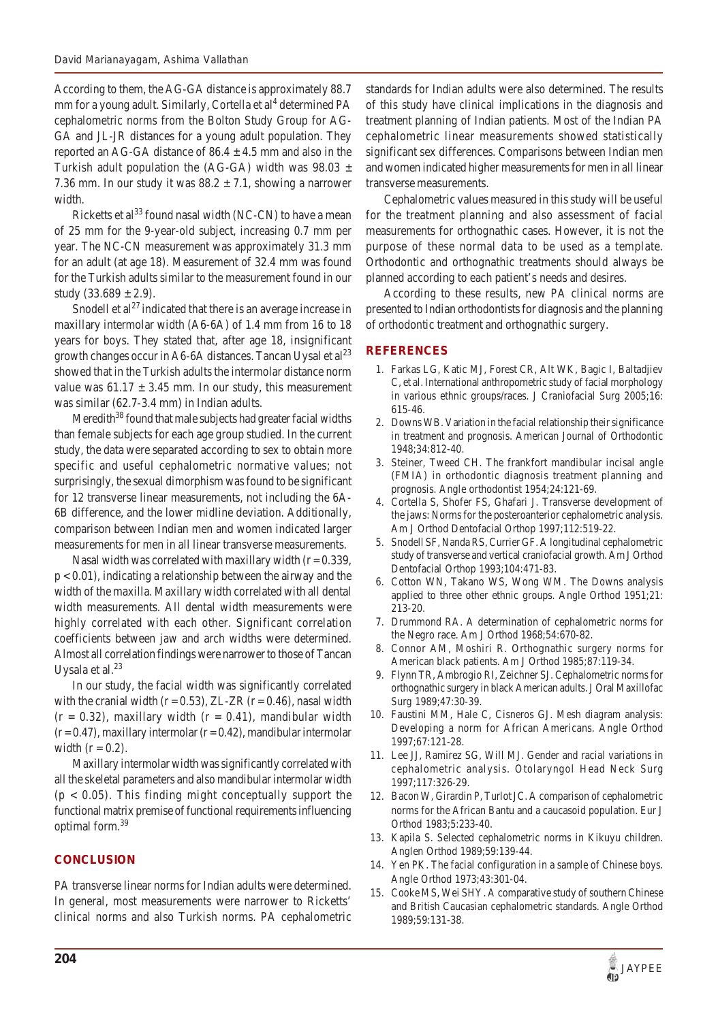According to them, the AG-GA distance is approximately 88.7 mm for a young adult. Similarly, Cortella et al<sup>4</sup> determined PA cephalometric norms from the Bolton Study Group for AG-GA and JL-JR distances for a young adult population. They reported an AG-GA distance of  $86.4 \pm 4.5$  mm and also in the Turkish adult population the (AG-GA) width was  $98.03 \pm$ 7.36 mm. In our study it was  $88.2 \pm 7.1$ , showing a narrower width.

Ricketts et al<sup>33</sup> found nasal width (NC-CN) to have a mean of 25 mm for the 9-year-old subject, increasing 0.7 mm per year. The NC-CN measurement was approximately 31.3 mm for an adult (at age 18). Measurement of 32.4 mm was found for the Turkish adults similar to the measurement found in our study  $(33.689 \pm 2.9)$ .

Snodell et  $al^{27}$  indicated that there is an average increase in maxillary intermolar width (A6-6A) of 1.4 mm from 16 to 18 years for boys. They stated that, after age 18, insignificant growth changes occur in A6-6A distances. Tancan Uysal et  $al<sup>23</sup>$ showed that in the Turkish adults the intermolar distance norm value was  $61.17 \pm 3.45$  mm. In our study, this measurement was similar (62.7-3.4 mm) in Indian adults.

Meredith $38$  found that male subjects had greater facial widths than female subjects for each age group studied. In the current study, the data were separated according to sex to obtain more specific and useful cephalometric normative values; not surprisingly, the sexual dimorphism was found to be significant for 12 transverse linear measurements, not including the 6A-6B difference, and the lower midline deviation. Additionally, comparison between Indian men and women indicated larger measurements for men in all linear transverse measurements.

Nasal width was correlated with maxillary width  $(r = 0.339)$ ,  $p < 0.01$ ), indicating a relationship between the airway and the width of the maxilla. Maxillary width correlated with all dental width measurements. All dental width measurements were highly correlated with each other. Significant correlation coefficients between jaw and arch widths were determined. Almost all correlation findings were narrower to those of Tancan Uysala et al. $^{23}$ 

In our study, the facial width was significantly correlated with the cranial width ( $r = 0.53$ ), ZL-ZR ( $r = 0.46$ ), nasal width  $(r = 0.32)$ , maxillary width  $(r = 0.41)$ , mandibular width  $(r=0.47)$ , maxillary intermolar  $(r=0.42)$ , mandibular intermolar width  $(r = 0.2)$ .

Maxillary intermolar width was significantly correlated with all the skeletal parameters and also mandibular intermolar width  $(p < 0.05)$ . This finding might conceptually support the functional matrix premise of functional requirements influencing optimal form.39

## **CONCLUSION**

PA transverse linear norms for Indian adults were determined. In general, most measurements were narrower to Ricketts' clinical norms and also Turkish norms. PA cephalometric standards for Indian adults were also determined. The results of this study have clinical implications in the diagnosis and treatment planning of Indian patients. Most of the Indian PA cephalometric linear measurements showed statistically significant sex differences. Comparisons between Indian men and women indicated higher measurements for men in all linear transverse measurements.

Cephalometric values measured in this study will be useful for the treatment planning and also assessment of facial measurements for orthognathic cases. However, it is not the purpose of these normal data to be used as a template. Orthodontic and orthognathic treatments should always be planned according to each patient's needs and desires.

According to these results, new PA clinical norms are presented to Indian orthodontists for diagnosis and the planning of orthodontic treatment and orthognathic surgery.

## **REFERENCES**

- 1. Farkas LG, Katic MJ, Forest CR, Alt WK, Bagic I, Baltadjiev C, et al. International anthropometric study of facial morphology in various ethnic groups/races. J Craniofacial Surg 2005;16: 615-46.
- 2. Downs WB. Variation in the facial relationship their significance in treatment and prognosis. American Journal of Orthodontic 1948;34:812-40.
- 3. Steiner, Tweed CH. The frankfort mandibular incisal angle (FMIA) in orthodontic diagnosis treatment planning and prognosis. Angle orthodontist 1954;24:121-69.
- 4. Cortella S, Shofer FS, Ghafari J. Transverse development of the jaws: Norms for the posteroanterior cephalometric analysis. Am J Orthod Dentofacial Orthop 1997;112:519-22.
- 5. Snodell SF, Nanda RS, Currier GF. A longitudinal cephalometric study of transverse and vertical craniofacial growth. Am J Orthod Dentofacial Orthop 1993;104:471-83.
- 6. Cotton WN, Takano WS, Wong WM. The Downs analysis applied to three other ethnic groups. Angle Orthod 1951;21: 213-20.
- 7. Drummond RA. A determination of cephalometric norms for the Negro race. Am J Orthod 1968;54:670-82.
- 8. Connor AM, Moshiri R. Orthognathic surgery norms for American black patients. Am J Orthod 1985;87:119-34.
- 9. Flynn TR, Ambrogio RI, Zeichner SJ. Cephalometric norms for orthognathic surgery in black American adults. J Oral Maxillofac Surg 1989;47:30-39.
- 10. Faustini MM, Hale C, Cisneros GJ. Mesh diagram analysis: Developing a norm for African Americans. Angle Orthod 1997;67:121-28.
- 11. Lee JJ, Ramirez SG, Will MJ. Gender and racial variations in cephalometric analysis. Otolaryngol Head Neck Surg 1997;117:326-29.
- 12. Bacon W, Girardin P, Turlot JC. A comparison of cephalometric norms for the African Bantu and a caucasoid population. Eur J Orthod 1983;5:233-40.
- 13. Kapila S. Selected cephalometric norms in Kikuyu children. Anglen Orthod 1989;59:139-44.
- 14. Yen PK. The facial configuration in a sample of Chinese boys. Angle Orthod 1973;43:301-04.
- 15. Cooke MS, Wei SHY. A comparative study of southern Chinese and British Caucasian cephalometric standards. Angle Orthod 1989;59:131-38.